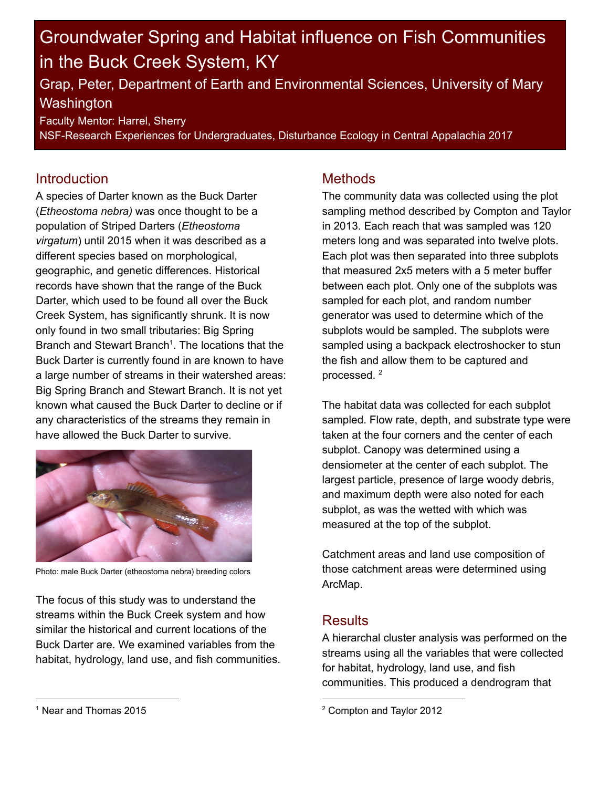# Groundwater Spring and Habitat influence on Fish Communities in the Buck Creek System, KY

Grap, Peter, Department of Earth and Environmental Sciences, University of Mary **Washington** 

Faculty Mentor: Harrel, Sherry

NSF-Research Experiences for Undergraduates, Disturbance Ecology in Central Appalachia 2017

### **Introduction**

A species of Darter known as the Buck Darter (Etheostoma nebra) was once thought to be a population of Striped Darters (Etheostoma virgatum) until 2015 when it was described as a different species based on morphological, geographic, and genetic differences. Historical records have shown that the range of the Buck Darter, which used to be found all over the Buck Creek System, has significantly shrunk. It is now only found in two small tributaries: Big Spring Branch and Stewart Branch<sup>1</sup>. The locations that the Buck Darter is currently found in are known to have a large number of streams in their watershed areas: Big Spring Branch and Stewart Branch. It is not yet known what caused the Buck Darter to decline or if any characteristics of the streams they remain in have allowed the Buck Darter to survive.



Photo: male Buck Darter (etheostoma nebra) breeding colors

The focus of this study was to understand the streams within the Buck Creek system and how similar the historical and current locations of the Buck Darter are. We examined variables from the habitat, hydrology, land use, and fish communities.

### **Methods**

The community data was collected using the plot sampling method described by Compton and Taylor in 2013. Each reach that was sampled was 120 meters long and was separated into twelve plots. Each plot was then separated into three subplots that measured 2x5 meters with a 5 meter buffer between each plot. Only one of the subplots was sampled for each plot, and random number generator was used to determine which of the subplots would be sampled. The subplots were sampled using a backpack electroshocker to stun the fish and allow them to be captured and processed. 2

The habitat data was collected for each subplot sampled. Flow rate, depth, and substrate type were taken at the four corners and the center of each subplot. Canopy was determined using a densiometer at the center of each subplot. The largest particle, presence of large woody debris, and maximum depth were also noted for each subplot, as was the wetted with which was measured at the top of the subplot.

Catchment areas and land use composition of those catchment areas were determined using ArcMap.

## **Results**

A hierarchal cluster analysis was performed on the streams using all the variables that were collected for habitat, hydrology, land use, and fish communities. This produced a dendrogram that

<sup>2</sup> Compton and Taylor 2012

<sup>1</sup> Near and Thomas 2015